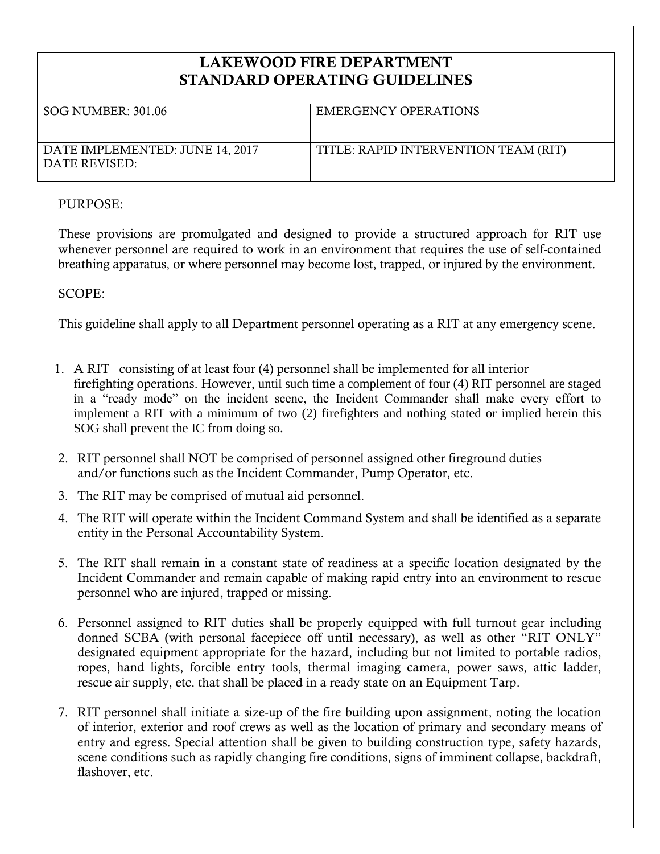## **LAKEWOOD FIRE DEPARTMENT STANDARD OPERATING GUIDELINES**

| SOG NUMBER: 301.06                               | EMERGENCY OPERATIONS                 |
|--------------------------------------------------|--------------------------------------|
| DATE IMPLEMENTED: JUNE 14, 2017<br>DATE REVISED: | TITLE: RAPID INTERVENTION TEAM (RIT) |

## PURPOSE:

These provisions are promulgated and designed to provide a structured approach for RIT use whenever personnel are required to work in an environment that requires the use of self-contained breathing apparatus, or where personnel may become lost, trapped, or injured by the environment.

SCOPE:

This guideline shall apply to all Department personnel operating as a RIT at any emergency scene.

- 1. A RIT consisting of at least four (4) personnel shall be implemented for all interior firefighting operations. However, until such time a complement of four (4) RIT personnel are staged in a "ready mode" on the incident scene, the Incident Commander shall make every effort to implement a RIT with a minimum of two (2) firefighters and nothing stated or implied herein this SOG shall prevent the IC from doing so.
- 2. RIT personnel shall NOT be comprised of personnel assigned other fireground duties and/or functions such as the Incident Commander, Pump Operator, etc.
- 3. The RIT may be comprised of mutual aid personnel.
- 4. The RIT will operate within the Incident Command System and shall be identified as a separate entity in the Personal Accountability System.
- 5. The RIT shall remain in a constant state of readiness at a specific location designated by the Incident Commander and remain capable of making rapid entry into an environment to rescue personnel who are injured, trapped or missing.
- 6. Personnel assigned to RIT duties shall be properly equipped with full turnout gear including donned SCBA (with personal facepiece off until necessary), as well as other "RIT ONLY" designated equipment appropriate for the hazard, including but not limited to portable radios, ropes, hand lights, forcible entry tools, thermal imaging camera, power saws, attic ladder, rescue air supply, etc. that shall be placed in a ready state on an Equipment Tarp.
- 7. RIT personnel shall initiate a size-up of the fire building upon assignment, noting the location of interior, exterior and roof crews as well as the location of primary and secondary means of entry and egress. Special attention shall be given to building construction type, safety hazards, scene conditions such as rapidly changing fire conditions, signs of imminent collapse, backdraft, flashover, etc.